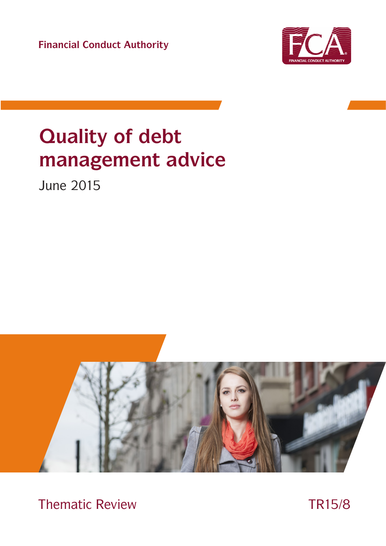**Financial Conduct Authority**



# **Quality of debt management advice**

June 2015



Thematic Review TR15/8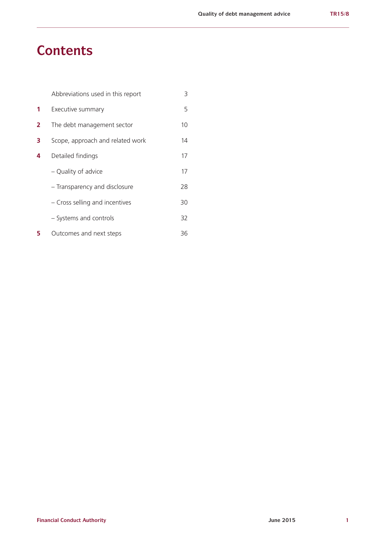# **Contents**

|                | Abbreviations used in this report | 3  |
|----------------|-----------------------------------|----|
| 1              | Executive summary                 | 5  |
| $\overline{2}$ | The debt management sector        | 10 |
| 3              | Scope, approach and related work  | 14 |
| 4              | Detailed findings                 | 17 |
|                | - Quality of advice               | 17 |
|                | - Transparency and disclosure     | 28 |
|                | - Cross selling and incentives    | 30 |
|                | - Systems and controls            | 32 |
| 5              | Outcomes and next steps           | 36 |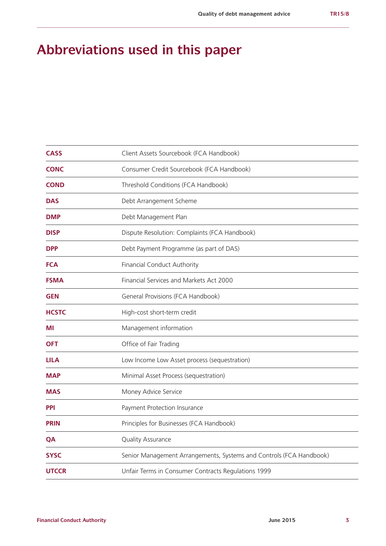# **Abbreviations used in this paper**

| <b>CASS</b>  | Client Assets Sourcebook (FCA Handbook)                             |  |
|--------------|---------------------------------------------------------------------|--|
| <b>CONC</b>  | Consumer Credit Sourcebook (FCA Handbook)                           |  |
| <b>COND</b>  | Threshold Conditions (FCA Handbook)                                 |  |
| <b>DAS</b>   | Debt Arrangement Scheme                                             |  |
| <b>DMP</b>   | Debt Management Plan                                                |  |
| <b>DISP</b>  | Dispute Resolution: Complaints (FCA Handbook)                       |  |
| <b>DPP</b>   | Debt Payment Programme (as part of DAS)                             |  |
| <b>FCA</b>   | Financial Conduct Authority                                         |  |
| <b>FSMA</b>  | Financial Services and Markets Act 2000                             |  |
| <b>GEN</b>   | General Provisions (FCA Handbook)                                   |  |
| <b>HCSTC</b> | High-cost short-term credit                                         |  |
| ΜI           | Management information                                              |  |
| <b>OFT</b>   | Office of Fair Trading                                              |  |
| <b>LILA</b>  | Low Income Low Asset process (sequestration)                        |  |
| <b>MAP</b>   | Minimal Asset Process (sequestration)                               |  |
| <b>MAS</b>   | Money Advice Service                                                |  |
| <b>PPI</b>   | Payment Protection Insurance                                        |  |
| <b>PRIN</b>  | Principles for Businesses (FCA Handbook)                            |  |
| QA           | Quality Assurance                                                   |  |
| <b>SYSC</b>  | Senior Management Arrangements, Systems and Controls (FCA Handbook) |  |
| <b>UTCCR</b> | Unfair Terms in Consumer Contracts Regulations 1999                 |  |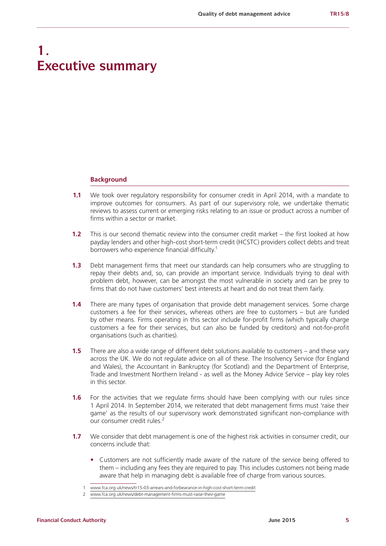# **1. Executive summary**

#### **Background**

- **1.1** We took over regulatory responsibility for consumer credit in April 2014, with a mandate to improve outcomes for consumers. As part of our supervisory role, we undertake thematic reviews to assess current or emerging risks relating to an issue or product across a number of firms within a sector or market.
- **1.2** This is our second thematic review into the consumer credit market the first looked at how payday lenders and other high-cost short-term credit (HCSTC) providers collect debts and treat borrowers who experience financial difficulty.<sup>1</sup>
- **1.3** Debt management firms that meet our standards can help consumers who are struggling to repay their debts and, so, can provide an important service. Individuals trying to deal with problem debt, however, can be amongst the most vulnerable in society and can be prey to firms that do not have customers' best interests at heart and do not treat them fairly.
- **1.4** There are many types of organisation that provide debt management services. Some charge customers a fee for their services, whereas others are free to customers – but are funded by other means. Firms operating in this sector include for-profit firms (which typically charge customers a fee for their services, but can also be funded by creditors) and not-for-profit organisations (such as charities).
- **1.5** There are also a wide range of different debt solutions available to customers and these vary across the UK. We do not regulate advice on all of these. The Insolvency Service (for England and Wales), the Accountant in Bankruptcy (for Scotland) and the Department of Enterprise, Trade and Investment Northern Ireland - as well as the Money Advice Service – play key roles in this sector.
- **1.6** For the activities that we regulate firms should have been complying with our rules since 1 April 2014. In September 2014, we reiterated that debt management firms must 'raise their game' as the results of our supervisory work demonstrated significant non-compliance with our consumer credit rules.<sup>2</sup>
- **1.7** We consider that debt management is one of the highest risk activities in consumer credit, our concerns include that:
	- **•** Customers are not sufficiently made aware of the nature of the service being offered to them – including any fees they are required to pay. This includes customers not being made aware that help in managing debt is available free of charge from various sources.

<sup>1</sup> [www.fca.org.uk/news/tr15-03-arrears-and-forbearance-in-high-cost-short-term-credit](http://www.fca.org.uk/news/tr15-03-arrears-and-forbearance-in-high-cost-short-term-credit)

<sup>2</sup> [www.fca.org.uk/news/debt-management-firms-must-raise-their-game](https://www.fca.org.uk/news/debt-management-firms-must-raise-their-game)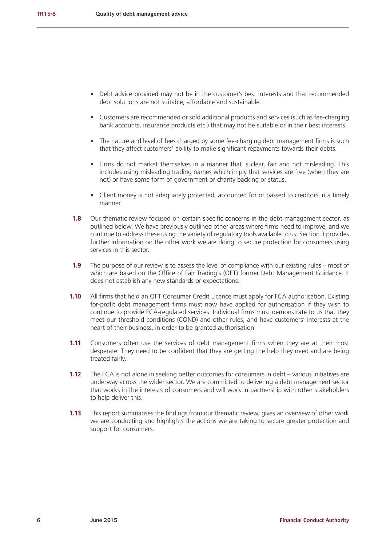- **•** Debt advice provided may not be in the customer's best interests and that recommended debt solutions are not suitable, affordable and sustainable.
- **•** Customers are recommended or sold additional products and services (such as fee-charging bank accounts, insurance products etc.) that may not be suitable or in their best interests.
- **•** The nature and level of fees charged by some fee-charging debt management firms is such that they affect customers' ability to make significant repayments towards their debts.
- **•** Firms do not market themselves in a manner that is clear, fair and not misleading. This includes using misleading trading names which imply that services are free (when they are not) or have some form of government or charity backing or status.
- **•** Client money is not adequately protected, accounted for or passed to creditors in a timely manner.
- **1.8** Our thematic review focused on certain specific concerns in the debt management sector, as outlined below. We have previously outlined other areas where firms need to improve, and we continue to address these using the variety of regulatory tools available to us. Section 3 provides further information on the other work we are doing to secure protection for consumers using services in this sector.
- **1.9** The purpose of our review is to assess the level of compliance with our existing rules most of which are based on the Office of Fair Trading's (OFT) former Debt Management Guidance. It does not establish any new standards or expectations.
- **1.10** All firms that held an OFT Consumer Credit Licence must apply for FCA authorisation. Existing for-profit debt management firms must now have applied for authorisation if they wish to continue to provide FCA-regulated services. Individual firms must demonstrate to us that they meet our threshold conditions (COND) and other rules, and have customers' interests at the heart of their business, in order to be granted authorisation.
- **1.11** Consumers often use the services of debt management firms when they are at their most desperate. They need to be confident that they are getting the help they need and are being treated fairly.
- **1.12** The FCA is not alone in seeking better outcomes for consumers in debt various initiatives are underway across the wider sector. We are committed to delivering a debt management sector that works in the interests of consumers and will work in partnership with other stakeholders to help deliver this.
- **1.13** This report summarises the findings from our thematic review, gives an overview of other work we are conducting and highlights the actions we are taking to secure greater protection and support for consumers.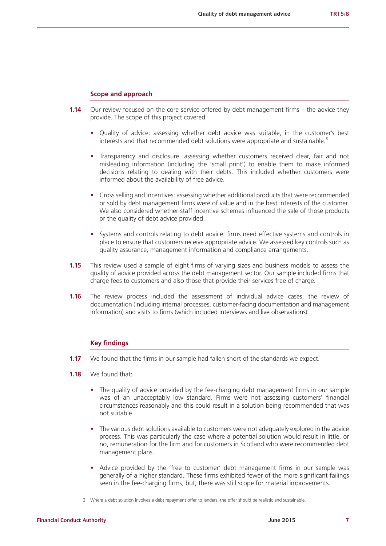#### **Scope and approach**

- **1.14** Our review focused on the core service offered by debt management firms the advice they provide. The scope of this project covered:
	- **•** Quality of advice: assessing whether debt advice was suitable, in the customer's best interests and that recommended debt solutions were appropriate and sustainable.<sup>3</sup>
	- **•** Transparency and disclosure: assessing whether customers received clear, fair and not misleading information (including the 'small print') to enable them to make informed decisions relating to dealing with their debts. This included whether customers were informed about the availability of free advice.
	- **•** Cross selling and incentives: assessing whether additional products that were recommended or sold by debt management firms were of value and in the best interests of the customer. We also considered whether staff incentive schemes influenced the sale of those products or the quality of debt advice provided.
	- **•** Systems and controls relating to debt advice: firms need effective systems and controls in place to ensure that customers receive appropriate advice. We assessed key controls such as quality assurance, management information and compliance arrangements.
- **1.15** This review used a sample of eight firms of varying sizes and business models to assess the quality of advice provided across the debt management sector. Our sample included firms that charge fees to customers and also those that provide their services free of charge.
- **1.16** The review process included the assessment of individual advice cases, the review of documentation (including internal processes, customer-facing documentation and management information) and visits to firms (which included interviews and live observations).

#### **Key findings**

- **1.17** We found that the firms in our sample had fallen short of the standards we expect.
- **1.18** We found that:
	- **•** The quality of advice provided by the fee-charging debt management firms in our sample was of an unacceptably low standard. Firms were not assessing customers' financial circumstances reasonably and this could result in a solution being recommended that was not suitable.
	- **•** The various debt solutions available to customers were not adequately explored in the advice process. This was particularly the case where a potential solution would result in little, or no, remuneration for the firm and for customers in Scotland who were recommended debt management plans.
	- **•** Advice provided by the 'free to customer' debt management firms in our sample was generally of a higher standard. These firms exhibited fewer of the more significant failings seen in the fee-charging firms, but, there was still scope for material improvements.

<sup>3</sup> Where a debt solution involves a debt repayment offer to lenders, the offer should be realistic and sustainable.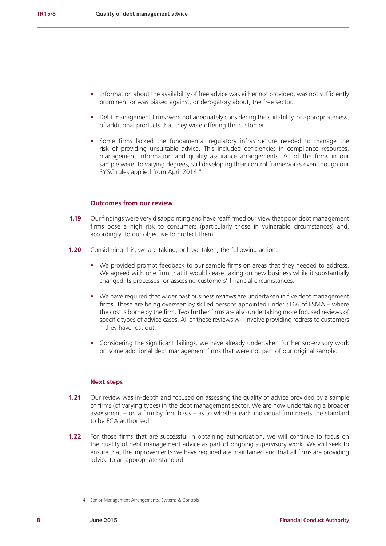- Information about the availability of free advice was either not provided, was not sufficiently prominent or was biased against, or derogatory about, the free sector.
- Debt management firms were not adequately considering the suitability, or appropriateness, of additional products that they were offering the customer.
- **•** Some firms lacked the fundamental regulatory infrastructure needed to manage the risk of providing unsuitable advice. This included deficiencies in compliance resources, management information and quality assurance arrangements. All of the firms in our sample were, to varying degrees, still developing their control frameworks even though our SYSC rules applied from April 2014.<sup>4</sup>

# **Outcomes from our review**

- **1.19** Our findings were very disappointing and have reaffirmed our view that poor debt management firms pose a high risk to consumers (particularly those in vulnerable circumstances) and, accordingly, to our objective to protect them.
- **1.20** Considering this, we are taking, or have taken, the following action:
	- **•** We provided prompt feedback to our sample firms on areas that they needed to address. We agreed with one firm that it would cease taking on new business while it substantially changed its processes for assessing customers' financial circumstances.
	- We have required that wider past business reviews are undertaken in five debt management firms. These are being overseen by skilled persons appointed under s166 of FSMA – where the cost is borne by the firm. Two further firms are also undertaking more focused reviews of specific types of advice cases. All of these reviews will involve providing redress to customers if they have lost out.
	- **•** Considering the significant failings, we have already undertaken further supervisory work on some additional debt management firms that were not part of our original sample.

#### **Next steps**

- **1.21** Our review was in-depth and focused on assessing the quality of advice provided by a sample of firms (of varying types) in the debt management sector. We are now undertaking a broader assessment – on a firm by firm basis – as to whether each individual firm meets the standard to be FCA authorised.
- **1.22** For those firms that are successful in obtaining authorisation, we will continue to focus on the quality of debt management advice as part of ongoing supervisory work. We will seek to ensure that the improvements we have required are maintained and that all firms are providing advice to an appropriate standard.

<sup>4</sup> Senior Management Arrangements, Systems & Controls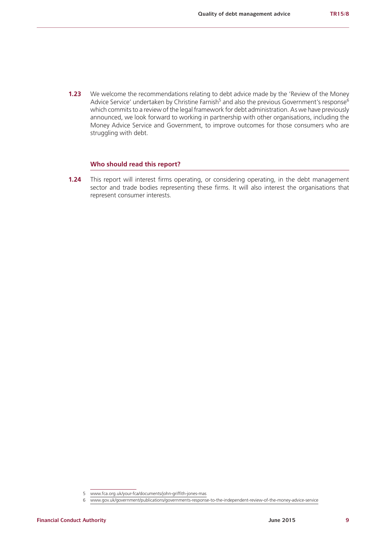**1.23** We welcome the recommendations relating to debt advice made by the 'Review of the Money Advice Service' undertaken by Christine Farnish<sup>5</sup> and also the previous Government's response<sup>6</sup> which commits to a review of the legal framework for debt administration. As we have previously announced, we look forward to working in partnership with other organisations, including the Money Advice Service and Government, to improve outcomes for those consumers who are struggling with debt.

# **Who should read this report?**

**1.24** This report will interest firms operating, or considering operating, in the debt management sector and trade bodies representing these firms. It will also interest the organisations that represent consumer interests.

<sup>5</sup> [www.fca.org.uk/your-fca/documents/john-griffith-jones-mas](http://www.fca.org.uk/your-fca/documents/john-griffith-jones-mas)

<sup>6</sup> [www.gov.uk/government/publications/governments-response-to-the-independent-review-of-the-money-advice-service](https://www.gov.uk/government/publications/governments-response-to-the-independent-review-of-the-money-advice-service)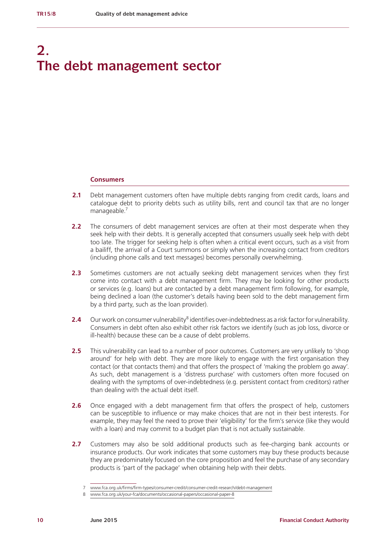# **2. The debt management sector**

#### **Consumers**

- **2.1** Debt management customers often have multiple debts ranging from credit cards, loans and catalogue debt to priority debts such as utility bills, rent and council tax that are no longer manageable.<sup>7</sup>
- **2.2** The consumers of debt management services are often at their most desperate when they seek help with their debts. It is generally accepted that consumers usually seek help with debt too late. The trigger for seeking help is often when a critical event occurs, such as a visit from a bailiff, the arrival of a Court summons or simply when the increasing contact from creditors (including phone calls and text messages) becomes personally overwhelming.
- **2.3** Sometimes customers are not actually seeking debt management services when they first come into contact with a debt management firm. They may be looking for other products or services (e.g. loans) but are contacted by a debt management firm following, for example, being declined a loan (the customer's details having been sold to the debt management firm by a third party, such as the loan provider).
- **2.4** Our work on consumer vulnerability<sup>8</sup> identifies over-indebtedness as a risk factor for vulnerability. Consumers in debt often also exhibit other risk factors we identify (such as job loss, divorce or ill-health) because these can be a cause of debt problems.
- **2.5** This vulnerability can lead to a number of poor outcomes. Customers are very unlikely to 'shop around' for help with debt. They are more likely to engage with the first organisation they contact (or that contacts them) and that offers the prospect of 'making the problem go away'. As such, debt management is a 'distress purchase' with customers often more focused on dealing with the symptoms of over-indebtedness (e.g. persistent contact from creditors) rather than dealing with the actual debt itself.
- **2.6** Once engaged with a debt management firm that offers the prospect of help, customers can be susceptible to influence or may make choices that are not in their best interests. For example, they may feel the need to prove their 'eligibility' for the firm's service (like they would with a loan) and may commit to a budget plan that is not actually sustainable.
- **2.7** Customers may also be sold additional products such as fee-charging bank accounts or insurance products. Our work indicates that some customers may buy these products because they are predominately focused on the core proposition and feel the purchase of any secondary products is 'part of the package' when obtaining help with their debts.

<sup>7</sup> [www.fca.org.uk/firms/firm-types/consumer-credit/consumer-credit-research/debt-management](https://www.fca.org.uk/firms/firm-types/consumer-credit/consumer-credit-research/debt-management)

<sup>8</sup> [www.fca.org.uk/your-fca/documents/occasional-papers/occasional-paper-8](http://www.fca.org.uk/your-fca/documents/occasional-papers/occasional-paper-8)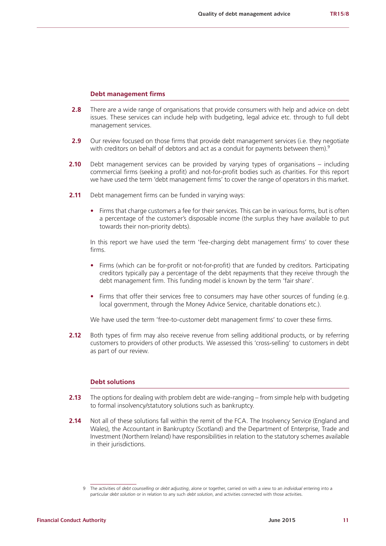#### **Debt management firms**

- **2.8** There are a wide range of organisations that provide consumers with help and advice on debt issues. These services can include help with budgeting, legal advice etc. through to full debt management services.
- **2.9** Our review focused on those firms that provide debt management services (i.e. they negotiate with creditors on behalf of debtors and act as a conduit for payments between them).<sup>9</sup>
- **2.10** Debt management services can be provided by varying types of organisations including commercial firms (seeking a profit) and not-for-profit bodies such as charities. For this report we have used the term 'debt management firms' to cover the range of operators in this market.
- **2.11** Debt management firms can be funded in varying ways:
	- **•** Firms that charge customers a fee for their services. This can be in various forms, but is often a percentage of the customer's disposable income (the surplus they have available to put towards their non-priority debts).

In this report we have used the term 'fee-charging debt management firms' to cover these firms.

- **•** Firms (which can be for-profit or not-for-profit) that are funded by creditors. Participating creditors typically pay a percentage of the debt repayments that they receive through the debt management firm. This funding model is known by the term 'fair share'.
- Firms that offer their services free to consumers may have other sources of funding (e.g. local government, through the Money Advice Service, charitable donations etc.).

We have used the term 'free-to-customer debt management firms' to cover these firms.

**2.12** Both types of firm may also receive revenue from selling additional products, or by referring customers to providers of other products. We assessed this 'cross-selling' to customers in debt as part of our review.

# **Debt solutions**

- **2.13** The options for dealing with problem debt are wide-ranging from simple help with budgeting to formal insolvency/statutory solutions such as bankruptcy.
- **2.14** Not all of these solutions fall within the remit of the FCA. The Insolvency Service (England and Wales), the Accountant in Bankruptcy (Scotland) and the Department of Enterprise, Trade and Investment (Northern Ireland) have responsibilities in relation to the statutory schemes available in their jurisdictions.

<sup>9</sup> The activities of *[debt counselling](https://fshandbook.info/FS/glossary-html/handbook/Glossary/D?definition=G3205)* or *[debt adjusting](https://fshandbook.info/FS/glossary-html/handbook/Glossary/D?definition=G3202)*, alone or together, carried on with a view to an *[individual](https://fshandbook.info/FS/glossary-html/handbook/Glossary/I?definition=G3173)* entering into a particular *[debt solution](https://fshandbook.info/FS/glossary-html/handbook/Glossary/D?definition=G3207)* or in relation to any such *[debt solution](https://fshandbook.info/FS/glossary-html/handbook/Glossary/D?definition=G3207)*, and activities connected with those activities.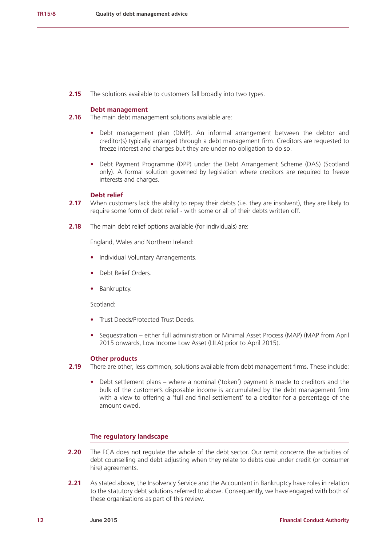**2.15** The solutions available to customers fall broadly into two types.

## **Debt management**

- **2.16** The main debt management solutions available are:
	- **•** Debt management plan (DMP). An informal arrangement between the debtor and creditor(s) typically arranged through a debt management firm. Creditors are requested to freeze interest and charges but they are under no obligation to do so.
	- **•** Debt Payment Programme (DPP) under the Debt Arrangement Scheme (DAS) (Scotland only). A formal solution governed by legislation where creditors are required to freeze interests and charges.

# **Debt relief**

- **2.17** When customers lack the ability to repay their debts (i.e. they are insolvent), they are likely to require some form of debt relief - with some or all of their debts written off.
- **2.18** The main debt relief options available (for individuals) are:

England, Wales and Northern Ireland:

- **•** Individual Voluntary Arrangements.
- **•** Debt Relief Orders.
- **•** Bankruptcy.

Scotland:

- **•** Trust Deeds/Protected Trust Deeds.
- **•** Sequestration either full administration or Minimal Asset Process (MAP) (MAP from April 2015 onwards, Low Income Low Asset (LILA) prior to April 2015).

# **Other products**

- **2.19** There are other, less common, solutions available from debt management firms. These include:
	- **•** Debt settlement plans where a nominal ('token') payment is made to creditors and the bulk of the customer's disposable income is accumulated by the debt management firm with a view to offering a 'full and final settlement' to a creditor for a percentage of the amount owed.

# **The regulatory landscape**

- **2.20** The FCA does not regulate the whole of the debt sector. Our remit concerns the activities of debt counselling and debt adjusting when they relate to debts due under credit (or consumer hire) agreements.
- **2.21** As stated above, the Insolvency Service and the Accountant in Bankruptcy have roles in relation to the statutory debt solutions referred to above. Consequently, we have engaged with both of these organisations as part of this review.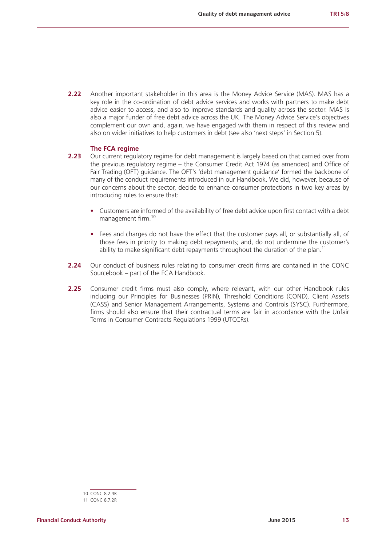**2.22** Another important stakeholder in this area is the Money Advice Service (MAS). MAS has a key role in the co-ordination of debt advice services and works with partners to make debt advice easier to access, and also to improve standards and quality across the sector. MAS is also a major funder of free debt advice across the UK. The Money Advice Service's objectives complement our own and, again, we have engaged with them in respect of this review and also on wider initiatives to help customers in debt (see also 'next steps' in Section 5).

### **The FCA regime**

- **2.23** Our current regulatory regime for debt management is largely based on that carried over from the previous regulatory regime – the Consumer Credit Act 1974 (as amended) and Office of Fair Trading (OFT) guidance. The OFT's 'debt management guidance' formed the backbone of many of the conduct requirements introduced in our Handbook. We did, however, because of our concerns about the sector, decide to enhance consumer protections in two key areas by introducing rules to ensure that:
	- **•** Customers are informed of the availability of free debt advice upon first contact with a debt management firm.<sup>10</sup>
	- **•** Fees and charges do not have the effect that the customer pays all, or substantially all, of those fees in priority to making debt repayments; and, do not undermine the customer's ability to make significant debt repayments throughout the duration of the plan.<sup>11</sup>
- **2.24** Our conduct of business rules relating to consumer credit firms are contained in the CONC Sourcebook – part of the FCA Handbook.
- 2.25 Consumer credit firms must also comply, where relevant, with our other Handbook rules including our Principles for Businesses (PRIN), Threshold Conditions (COND), Client Assets (CASS) and Senior Management Arrangements, Systems and Controls (SYSC). Furthermore, firms should also ensure that their contractual terms are fair in accordance with the Unfair Terms in Consumer Contracts Regulations 1999 (UTCCRs).

<sup>10</sup> CONC 8.2.4R

<sup>11</sup> CONC 8.7.2R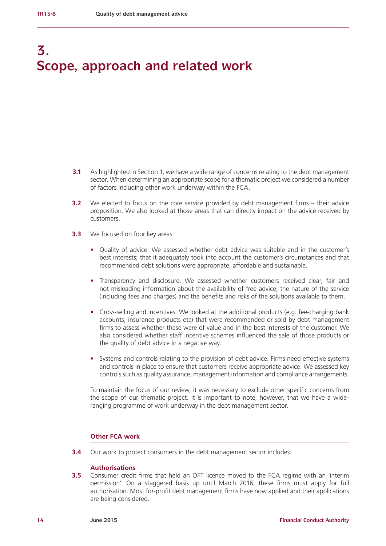# **3. Scope, approach and related work**

- **3.1** As highlighted in Section 1, we have a wide range of concerns relating to the debt management sector. When determining an appropriate scope for a thematic project we considered a number of factors including other work underway within the FCA.
- **3.2** We elected to focus on the core service provided by debt management firms their advice proposition. We also looked at those areas that can directly impact on the advice received by customers.
- **3.3** We focused on four key areas:
	- **•** Quality of advice. We assessed whether debt advice was suitable and in the customer's best interests; that it adequately took into account the customer's circumstances and that recommended debt solutions were appropriate, affordable and sustainable.
	- **•** Transparency and disclosure. We assessed whether customers received clear, fair and not misleading information about the availability of free advice, the nature of the service (including fees and charges) and the benefits and risks of the solutions available to them.
	- **•** Cross-selling and incentives. We looked at the additional products (e.g. fee-charging bank accounts, insurance products etc) that were recommended or sold by debt management firms to assess whether these were of value and in the best interests of the customer. We also considered whether staff incentive schemes influenced the sale of those products or the quality of debt advice in a negative way.
	- **•** Systems and controls relating to the provision of debt advice. Firms need effective systems and controls in place to ensure that customers receive appropriate advice. We assessed key controls such as quality assurance, management information and compliance arrangements.

To maintain the focus of our review, it was necessary to exclude other specific concerns from the scope of our thematic project. It is important to note, however, that we have a wideranging programme of work underway in the debt management sector.

# **Other FCA work**

**3.4** Our work to protect consumers in the debt management sector includes:

### **Authorisations**

**3.5** Consumer credit firms that held an OFT licence moved to the FCA regime with an 'interim permission'. On a staggered basis up until March 2016, these firms must apply for full authorisation. Most for-profit debt management firms have now applied and their applications are being considered.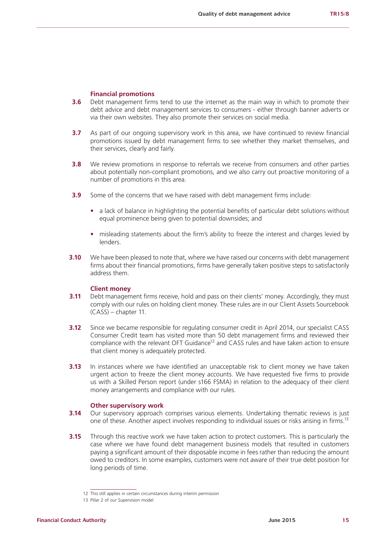#### **Financial promotions**

- **3.6** Debt management firms tend to use the internet as the main way in which to promote their debt advice and debt management services to consumers - either through banner adverts or via their own websites. They also promote their services on social media.
- **3.7** As part of our ongoing supervisory work in this area, we have continued to review financial promotions issued by debt management firms to see whether they market themselves, and their services, clearly and fairly.
- **3.8** We review promotions in response to referrals we receive from consumers and other parties about potentially non-compliant promotions, and we also carry out proactive monitoring of a number of promotions in this area.
- **3.9** Some of the concerns that we have raised with debt management firms include:
	- a lack of balance in highlighting the potential benefits of particular debt solutions without equal prominence being given to potential downsides; and
	- misleading statements about the firm's ability to freeze the interest and charges levied by lenders.
- **3.10** We have been pleased to note that, where we have raised our concerns with debt management firms about their financial promotions, firms have generally taken positive steps to satisfactorily address them.

# **Client money**

- **3.11** Debt management firms receive, hold and pass on their clients' money. Accordingly, they must comply with our rules on holding client money. These rules are in our Client Assets Sourcebook (CASS) – chapter 11.
- **3.12** Since we became responsible for regulating consumer credit in April 2014, our specialist CASS Consumer Credit team has visited more than 50 debt management firms and reviewed their compliance with the relevant OFT Guidance<sup>12</sup> and CASS rules and have taken action to ensure that client money is adequately protected.
- **3.13** In instances where we have identified an unacceptable risk to client money we have taken urgent action to freeze the client money accounts. We have requested five firms to provide us with a Skilled Person report (under s166 FSMA) in relation to the adequacy of their client money arrangements and compliance with our rules.

#### **Other supervisory work**

- **3.14** Our supervisory approach comprises various elements. Undertaking thematic reviews is just one of these. Another aspect involves responding to individual issues or risks arising in firms.13
- **3.15** Through this reactive work we have taken action to protect customers. This is particularly the case where we have found debt management business models that resulted in customers paying a significant amount of their disposable income in fees rather than reducing the amount owed to creditors. In some examples, customers were not aware of their true debt position for long periods of time.

<sup>12</sup> This still applies in certain circumstances during interim permission

<sup>13</sup> Pillar 2 of our Supervision model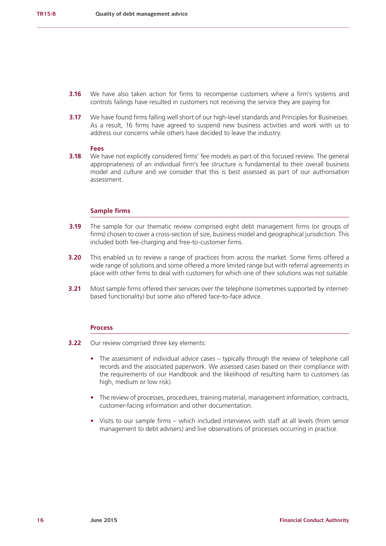- **3.16** We have also taken action for firms to recompense customers where a firm's systems and controls failings have resulted in customers not receiving the service they are paying for.
- **3.17** We have found firms falling well short of our high-level standards and Principles for Businesses. As a result, 16 firms have agreed to suspend new business activities and work with us to address our concerns while others have decided to leave the industry.

#### **Fees**

**3.18** We have not explicitly considered firms' fee models as part of this focused review. The general appropriateness of an individual firm's fee structure is fundamental to their overall business model and culture and we consider that this is best assessed as part of our authorisation assessment.

### **Sample firms**

- **3.19** The sample for our thematic review comprised eight debt management firms (or groups of firms) chosen to cover a cross-section of size, business model and geographical jurisdiction. This included both fee-charging and free-to-customer firms.
- **3.20** This enabled us to review a range of practices from across the market. Some firms offered a wide range of solutions and some offered a more limited range but with referral agreements in place with other firms to deal with customers for which one of their solutions was not suitable.
- **3.21** Most sample firms offered their services over the telephone (sometimes supported by internetbased functionality) but some also offered face-to-face advice.

#### **Process**

- **3.22** Our review comprised three key elements:
	- The assessment of individual advice cases typically through the review of telephone call records and the associated paperwork. We assessed cases based on their compliance with the requirements of our Handbook and the likelihood of resulting harm to customers (as high, medium or low risk).
	- **•** The review of processes, procedures, training material, management information, contracts, customer-facing information and other documentation.
	- **•** Visits to our sample firms which included interviews with staff at all levels (from senior management to debt advisers) and live observations of processes occurring in practice.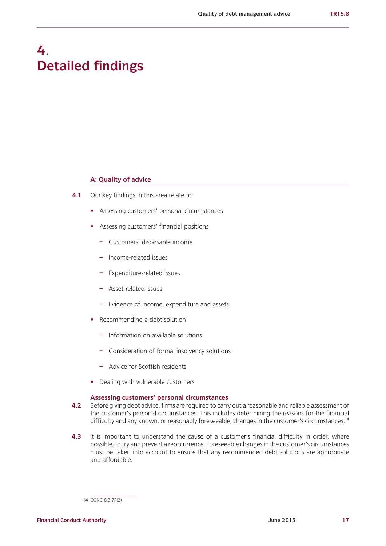# **4. Detailed findings**

### **A: Quality of advice**

- **4.1** Our key findings in this area relate to:
	- **•** Assessing customers' personal circumstances
	- **•** Assessing customers' financial positions
		- **–** Customers' disposable income
		- **–** Income-related issues
		- **–** Expenditure-related issues
		- **–** Asset-related issues
		- **–** Evidence of income, expenditure and assets
	- **•** Recommending a debt solution
		- **–** Information on available solutions
		- **–** Consideration of formal insolvency solutions
		- **–** Advice for Scottish residents
	- **•** Dealing with vulnerable customers

#### **Assessing customers' personal circumstances**

- **4.2** Before giving debt advice, firms are required to carry out a reasonable and reliable assessment of the customer's personal circumstances. This includes determining the reasons for the financial difficulty and any known, or reasonably foreseeable, changes in the customer's circumstances.<sup>14</sup>
- **4.3** It is important to understand the cause of a customer's financial difficulty in order, where possible, to try and prevent a reoccurrence. Foreseeable changes in the customer's circumstances must be taken into account to ensure that any recommended debt solutions are appropriate and affordable.

<sup>14</sup> CONC 8.3.7R(2)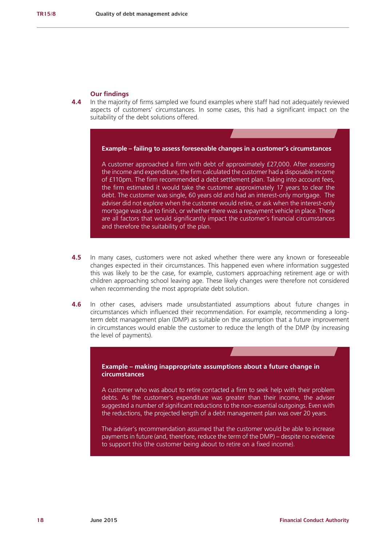#### **Our findings**

**4.4** In the majority of firms sampled we found examples where staff had not adequately reviewed aspects of customers' circumstances. In some cases, this had a significant impact on the suitability of the debt solutions offered.

### **Example – failing to assess foreseeable changes in a customer's circumstances**

A customer approached a firm with debt of approximately £27,000. After assessing the income and expenditure, the firm calculated the customer had a disposable income of £110pm. The firm recommended a debt settlement plan. Taking into account fees, the firm estimated it would take the customer approximately 17 years to clear the debt. The customer was single, 60 years old and had an interest-only mortgage. The adviser did not explore when the customer would retire, or ask when the interest-only mortgage was due to finish, or whether there was a repayment vehicle in place. These are all factors that would significantly impact the customer's financial circumstances and therefore the suitability of the plan.

- **4.5** In many cases, customers were not asked whether there were any known or foreseeable changes expected in their circumstances. This happened even where information suggested this was likely to be the case, for example, customers approaching retirement age or with children approaching school leaving age. These likely changes were therefore not considered when recommending the most appropriate debt solution.
- **4.6** In other cases, advisers made unsubstantiated assumptions about future changes in circumstances which influenced their recommendation. For example, recommending a longterm debt management plan (DMP) as suitable on the assumption that a future improvement in circumstances would enable the customer to reduce the length of the DMP (by increasing the level of payments).

# **Example – making inappropriate assumptions about a future change in circumstances**

A customer who was about to retire contacted a firm to seek help with their problem debts. As the customer's expenditure was greater than their income, the adviser suggested a number of significant reductions to the non-essential outgoings. Even with the reductions, the projected length of a debt management plan was over 20 years.

The adviser's recommendation assumed that the customer would be able to increase payments in future (and, therefore, reduce the term of the DMP) – despite no evidence to support this (the customer being about to retire on a fixed income).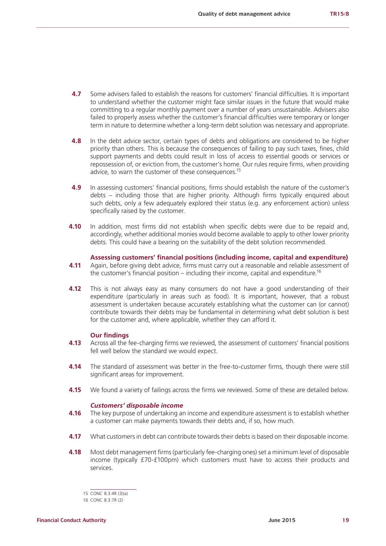- **4.7** Some advisers failed to establish the reasons for customers' financial difficulties. It is important to understand whether the customer might face similar issues in the future that would make committing to a regular monthly payment over a number of years unsustainable. Advisers also failed to properly assess whether the customer's financial difficulties were temporary or longer term in nature to determine whether a long-term debt solution was necessary and appropriate.
- **4.8** In the debt advice sector, certain types of debts and obligations are considered to be higher priority than others. This is because the consequences of failing to pay such taxes, fines, child support payments and debts could result in loss of access to essential goods or services or repossession of, or eviction from, the customer's home. Our rules require firms, when providing advice, to warn the customer of these consequences.<sup>15</sup>
- **4.9** In assessing customers' financial positions, firms should establish the nature of the customer's debts – including those that are higher priority. Although firms typically enquired about such debts, only a few adequately explored their status (e.g. any enforcement action) unless specifically raised by the customer.
- **4.10** In addition, most firms did not establish when specific debts were due to be repaid and, accordingly, whether additional monies would become available to apply to other lower priority debts. This could have a bearing on the suitability of the debt solution recommended.

#### **Assessing customers' financial positions (including income, capital and expenditure)**

- **4.11** Again, before giving debt advice, firms must carry out a reasonable and reliable assessment of the customer's financial position – including their income, capital and expenditure.<sup>16</sup>
- **4.12** This is not always easy as many consumers do not have a good understanding of their expenditure (particularly in areas such as food). It is important, however, that a robust assessment is undertaken because accurately establishing what the customer can (or cannot) contribute towards their debts may be fundamental in determining what debt solution is best for the customer and, where applicable, whether they can afford it.

#### **Our findings**

- **4.13** Across all the fee-charging firms we reviewed, the assessment of customers' financial positions fell well below the standard we would expect.
- **4.14** The standard of assessment was better in the free-to-customer firms, though there were still significant areas for improvement.
- **4.15** We found a variety of failings across the firms we reviewed. Some of these are detailed below.

#### *Customers' disposable income*

- **4.16** The key purpose of undertaking an income and expenditure assessment is to establish whether a customer can make payments towards their debts and, if so, how much.
- **4.17** What customers in debt can contribute towards their debts is based on their disposable income.
- **4.18** Most debt management firms (particularly fee-charging ones) set a minimum level of disposable income (typically £70-£100pm) which customers must have to access their products and services.

<sup>15</sup> CONC 8.3.4R (3)(a)

<sup>16</sup> CONC 8.3.7R (2)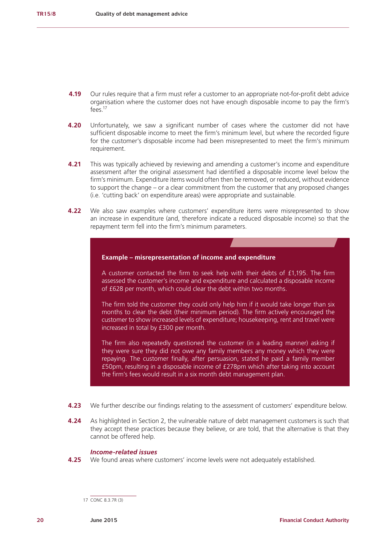- **4.19** Our rules require that a firm must refer a customer to an appropriate not-for-profit debt advice organisation where the customer does not have enough disposable income to pay the firm's  $f$ ees<sup>17</sup>
- **4.20** Unfortunately, we saw a significant number of cases where the customer did not have sufficient disposable income to meet the firm's minimum level, but where the recorded figure for the customer's disposable income had been misrepresented to meet the firm's minimum requirement.
- **4.21** This was typically achieved by reviewing and amending a customer's income and expenditure assessment after the original assessment had identified a disposable income level below the firm's minimum. Expenditure items would often then be removed, or reduced, without evidence to support the change – or a clear commitment from the customer that any proposed changes (i.e. 'cutting back' on expenditure areas) were appropriate and sustainable.
- **4.22** We also saw examples where customers' expenditure items were misrepresented to show an increase in expenditure (and, therefore indicate a reduced disposable income) so that the repayment term fell into the firm's minimum parameters.

### **Example – misrepresentation of income and expenditure**

A customer contacted the firm to seek help with their debts of £1,195. The firm assessed the customer's income and expenditure and calculated a disposable income of £628 per month, which could clear the debt within two months.

The firm told the customer they could only help him if it would take longer than six months to clear the debt (their minimum period). The firm actively encouraged the customer to show increased levels of expenditure; housekeeping, rent and travel were increased in total by £300 per month.

The firm also repeatedly questioned the customer (in a leading manner) asking if they were sure they did not owe any family members any money which they were repaying. The customer finally, after persuasion, stated he paid a family member £50pm, resulting in a disposable income of £278pm which after taking into account the firm's fees would result in a six month debt management plan.

- **4.23** We further describe our findings relating to the assessment of customers' expenditure below.
- **4.24** As highlighted in Section 2, the vulnerable nature of debt management customers is such that they accept these practices because they believe, or are told, that the alternative is that they cannot be offered help.

# *Income-related issues*

**4.25** We found areas where customers' income levels were not adequately established.

<sup>17</sup> CONC 8.3.7R (3)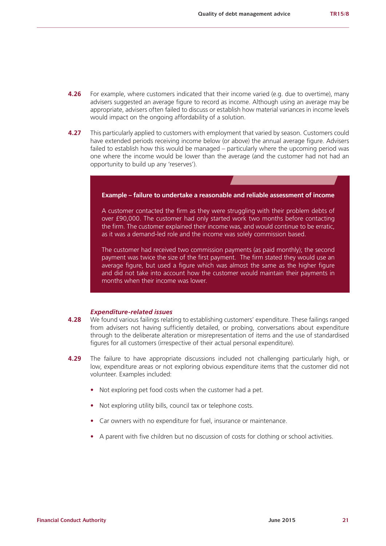- **4.26** For example, where customers indicated that their income varied (e.g. due to overtime), many advisers suggested an average figure to record as income. Although using an average may be appropriate, advisers often failed to discuss or establish how material variances in income levels would impact on the ongoing affordability of a solution.
- **4.27** This particularly applied to customers with employment that varied by season. Customers could have extended periods receiving income below (or above) the annual average figure. Advisers failed to establish how this would be managed – particularly where the upcoming period was one where the income would be lower than the average (and the customer had not had an opportunity to build up any 'reserves').



average figure, but used a figure which was almost the same as the higher figure and did not take into account how the customer would maintain their payments in months when their income was lower.

#### *Expenditure-related issues*

- **4.28** We found various failings relating to establishing customers' expenditure. These failings ranged from advisers not having sufficiently detailed, or probing, conversations about expenditure through to the deliberate alteration or misrepresentation of items and the use of standardised figures for all customers (irrespective of their actual personal expenditure).
- **4.29** The failure to have appropriate discussions included not challenging particularly high, or low, expenditure areas or not exploring obvious expenditure items that the customer did not volunteer. Examples included:
	- **•** Not exploring pet food costs when the customer had a pet.
	- **•** Not exploring utility bills, council tax or telephone costs.
	- **•** Car owners with no expenditure for fuel, insurance or maintenance.
	- **•** A parent with five children but no discussion of costs for clothing or school activities.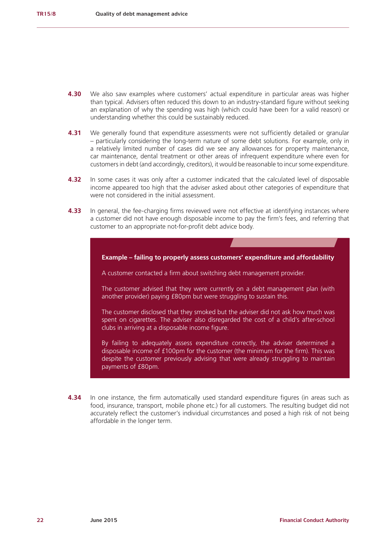- **4.30** We also saw examples where customers' actual expenditure in particular areas was higher than typical. Advisers often reduced this down to an industry-standard figure without seeking an explanation of why the spending was high (which could have been for a valid reason) or understanding whether this could be sustainably reduced.
- **4.31** We generally found that expenditure assessments were not sufficiently detailed or granular – particularly considering the long-term nature of some debt solutions. For example, only in a relatively limited number of cases did we see any allowances for property maintenance, car maintenance, dental treatment or other areas of infrequent expenditure where even for customers in debt (and accordingly, creditors), it would be reasonable to incur some expenditure.
- **4.32** In some cases it was only after a customer indicated that the calculated level of disposable income appeared too high that the adviser asked about other categories of expenditure that were not considered in the initial assessment.
- **4.33** In general, the fee-charging firms reviewed were not effective at identifying instances where a customer did not have enough disposable income to pay the firm's fees, and referring that customer to an appropriate not-for-profit debt advice body.



**4.34** In one instance, the firm automatically used standard expenditure figures (in areas such as food, insurance, transport, mobile phone etc.) for all customers. The resulting budget did not accurately reflect the customer's individual circumstances and posed a high risk of not being affordable in the longer term.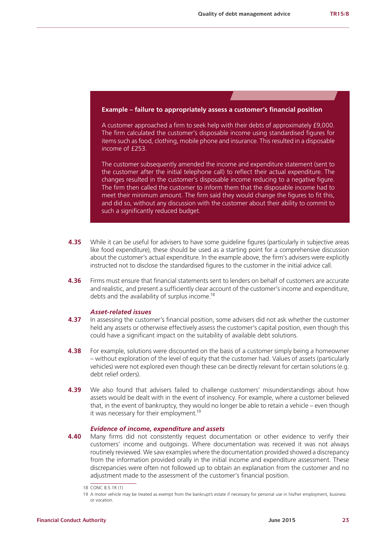#### **Example – failure to appropriately assess a customer's financial position**

A customer approached a firm to seek help with their debts of approximately £9,000. The firm calculated the customer's disposable income using standardised figures for items such as food, clothing, mobile phone and insurance. This resulted in a disposable income of £253.

The customer subsequently amended the income and expenditure statement (sent to the customer after the initial telephone call) to reflect their actual expenditure. The changes resulted in the customer's disposable income reducing to a negative figure. The firm then called the customer to inform them that the disposable income had to meet their minimum amount. The firm said they would change the figures to fit this, and did so, without any discussion with the customer about their ability to commit to such a significantly reduced budget.

- **4.35** While it can be useful for advisers to have some quideline figures (particularly in subjective areas like food expenditure), these should be used as a starting point for a comprehensive discussion about the customer's actual expenditure. In the example above, the firm's advisers were explicitly instructed not to disclose the standardised figures to the customer in the initial advice call.
- **4.36** Firms must ensure that financial statements sent to lenders on behalf of customers are accurate and realistic, and present a sufficiently clear account of the customer's income and expenditure, debts and the availability of surplus income.<sup>18</sup>

### *Asset-related issues*

- **4.37** In assessing the customer's financial position, some advisers did not ask whether the customer held any assets or otherwise effectively assess the customer's capital position, even though this could have a significant impact on the suitability of available debt solutions.
- **4.38** For example, solutions were discounted on the basis of a customer simply being a homeowner – without exploration of the level of equity that the customer had. Values of assets (particularly vehicles) were not explored even though these can be directly relevant for certain solutions (e.g. debt relief orders).
- **4.39** We also found that advisers failed to challenge customers' misunderstandings about how assets would be dealt with in the event of insolvency. For example, where a customer believed that, in the event of bankruptcy, they would no longer be able to retain a vehicle – even though it was necessary for their employment.<sup>19</sup>

#### *Evidence of income, expenditure and assets*

**4.40** Many firms did not consistently request documentation or other evidence to verify their customers' income and outgoings. Where documentation was received it was not always routinely reviewed. We saw examples where the documentation provided showed a discrepancy from the information provided orally in the initial income and expenditure assessment. These discrepancies were often not followed up to obtain an explanation from the customer and no adjustment made to the assessment of the customer's financial position.

<sup>18</sup> CONC 8.5.1R (1)

<sup>19</sup> A motor vehicle may be treated as exempt from the bankrupt's estate if necessary for personal use in his/her employment, business or vocation.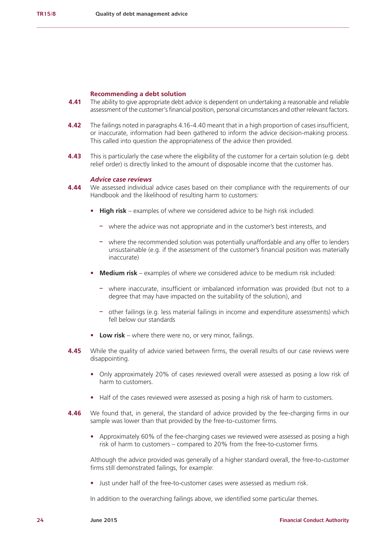#### **Recommending a debt solution**

- **4.41** The ability to give appropriate debt advice is dependent on undertaking a reasonable and reliable assessment of the customer's financial position, personal circumstances and other relevant factors.
- **4.42** The failings noted in paragraphs 4.16-4.40 meant that in a high proportion of cases insufficient, or inaccurate, information had been gathered to inform the advice decision-making process. This called into question the appropriateness of the advice then provided.
- **4.43** This is particularly the case where the eligibility of the customer for a certain solution (e.g. debt relief order) is directly linked to the amount of disposable income that the customer has.

# *Advice case reviews*

- **4.44** We assessed individual advice cases based on their compliance with the requirements of our Handbook and the likelihood of resulting harm to customers:
	- **High risk** examples of where we considered advice to be high risk included:
		- **–** where the advice was not appropriate and in the customer's best interests, and
		- **–** where the recommended solution was potentially unaffordable and any offer to lenders unsustainable (e.g. if the assessment of the customer's financial position was materially inaccurate)
	- **• Medium risk** examples of where we considered advice to be medium risk included:
		- **–** where inaccurate, insufficient or imbalanced information was provided (but not to a degree that may have impacted on the suitability of the solution), and
		- **–** other failings (e.g. less material failings in income and expenditure assessments) which fell below our standards
	- Low risk where there were no, or very minor, failings.
- **4.45** While the quality of advice varied between firms, the overall results of our case reviews were disappointing.
	- **•** Only approximately 20% of cases reviewed overall were assessed as posing a low risk of harm to customers.
	- **•** Half of the cases reviewed were assessed as posing a high risk of harm to customers.
- **4.46** We found that, in general, the standard of advice provided by the fee-charging firms in our sample was lower than that provided by the free-to-customer firms.
	- **•** Approximately 60% of the fee-charging cases we reviewed were assessed as posing a high risk of harm to customers – compared to 20% from the free-to-customer firms.

Although the advice provided was generally of a higher standard overall, the free-to-customer firms still demonstrated failings, for example:

**•** Just under half of the free-to-customer cases were assessed as medium risk.

In addition to the overarching failings above, we identified some particular themes.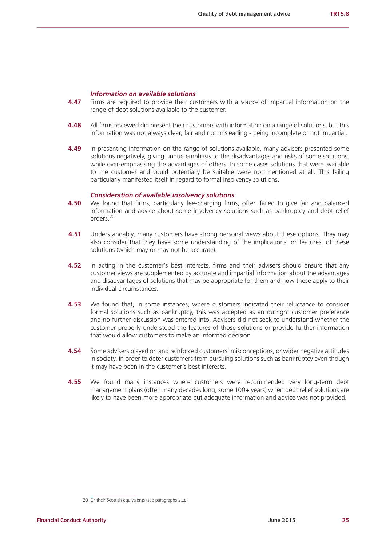### *Information on available solutions*

- **4.47** Firms are required to provide their customers with a source of impartial information on the range of debt solutions available to the customer.
- **4.48** All firms reviewed did present their customers with information on a range of solutions, but this information was not always clear, fair and not misleading - being incomplete or not impartial.
- **4.49** In presenting information on the range of solutions available, many advisers presented some solutions negatively, giving undue emphasis to the disadvantages and risks of some solutions, while over-emphasising the advantages of others. In some cases solutions that were available to the customer and could potentially be suitable were not mentioned at all. This failing particularly manifested itself in regard to formal insolvency solutions.

# *Consideration of available insolvency solutions*

- **4.50** We found that firms, particularly fee-charging firms, often failed to give fair and balanced information and advice about some insolvency solutions such as bankruptcy and debt relief orders.<sup>20</sup>
- **4.51** Understandably, many customers have strong personal views about these options. They may also consider that they have some understanding of the implications, or features, of these solutions (which may or may not be accurate).
- **4.52** In acting in the customer's best interests, firms and their advisers should ensure that any customer views are supplemented by accurate and impartial information about the advantages and disadvantages of solutions that may be appropriate for them and how these apply to their individual circumstances.
- **4.53** We found that, in some instances, where customers indicated their reluctance to consider formal solutions such as bankruptcy, this was accepted as an outright customer preference and no further discussion was entered into. Advisers did not seek to understand whether the customer properly understood the features of those solutions or provide further information that would allow customers to make an informed decision.
- **4.54** Some advisers played on and reinforced customers' misconceptions, or wider negative attitudes in society, in order to deter customers from pursuing solutions such as bankruptcy even though it may have been in the customer's best interests.
- **4.55** We found many instances where customers were recommended very long-term debt management plans (often many decades long, some 100+ years) when debt relief solutions are likely to have been more appropriate but adequate information and advice was not provided.

<sup>20</sup> Or their Scottish equivalents (see paragraphs 2.18)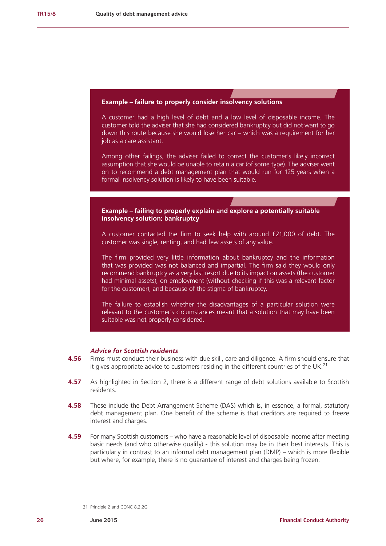

# *Advice for Scottish residents*

- **4.56** Firms must conduct their business with due skill, care and diligence. A firm should ensure that it gives appropriate advice to customers residing in the different countries of the UK.<sup>21</sup>
- **4.57** As highlighted in Section 2, there is a different range of debt solutions available to Scottish residents.
- **4.58** These include the Debt Arrangement Scheme (DAS) which is, in essence, a formal, statutory debt management plan. One benefit of the scheme is that creditors are required to freeze interest and charges.
- **4.59** For many Scottish customers who have a reasonable level of disposable income after meeting basic needs (and who otherwise qualify) - this solution may be in their best interests. This is particularly in contrast to an informal debt management plan (DMP) – which is more flexible but where, for example, there is no guarantee of interest and charges being frozen.

<sup>21</sup> Principle 2 and CONC 8.2.2G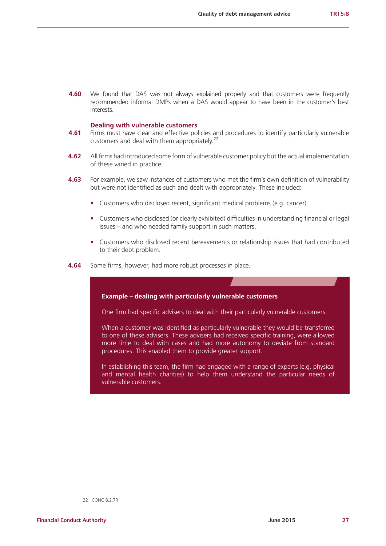**4.60** We found that DAS was not always explained properly and that customers were frequently recommended informal DMPs when a DAS would appear to have been in the customer's best interests.

#### **Dealing with vulnerable customers**

- **4.61** Firms must have clear and effective policies and procedures to identify particularly vulnerable customers and deal with them appropriately.<sup>22</sup>
- **4.62** All firms had introduced some form of vulnerable customer policy but the actual implementation of these varied in practice.
- **4.63** For example, we saw instances of customers who met the firm's own definition of vulnerability but were not identified as such and dealt with appropriately. These included:
	- **•** Customers who disclosed recent, significant medical problems (e.g. cancer).
	- **•** Customers who disclosed (or clearly exhibited) difficulties in understanding financial or legal issues – and who needed family support in such matters.
	- **•** Customers who disclosed recent bereavements or relationship issues that had contributed to their debt problem.
- **4.64** Some firms, however, had more robust processes in place.



<sup>22</sup> CONC 8.2.7R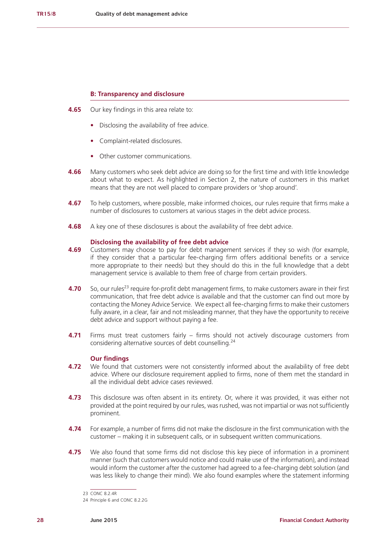# **B: Transparency and disclosure**

- **4.65** Our key findings in this area relate to:
	- **•** Disclosing the availability of free advice.
	- **•** Complaint-related disclosures.
	- **•** Other customer communications.
- **4.66** Many customers who seek debt advice are doing so for the first time and with little knowledge about what to expect. As highlighted in Section 2, the nature of customers in this market means that they are not well placed to compare providers or 'shop around'.
- **4.67** To help customers, where possible, make informed choices, our rules require that firms make a number of disclosures to customers at various stages in the debt advice process.
- **4.68** A key one of these disclosures is about the availability of free debt advice.

#### **Disclosing the availability of free debt advice**

- **4.69** Customers may choose to pay for debt management services if they so wish (for example, if they consider that a particular fee-charging firm offers additional benefits or a service more appropriate to their needs) but they should do this in the full knowledge that a debt management service is available to them free of charge from certain providers.
- **4.70** So, our rules<sup>23</sup> require for-profit debt management firms, to make customers aware in their first communication, that free debt advice is available and that the customer can find out more by contacting the Money Advice Service. We expect all fee-charging firms to make their customers fully aware, in a clear, fair and not misleading manner, that they have the opportunity to receive debt advice and support without paying a fee.
- **4.71** Firms must treat customers fairly firms should not actively discourage customers from considering alternative sources of debt counselling.<sup>24</sup>

# **Our findings**

- **4.72** We found that customers were not consistently informed about the availability of free debt advice. Where our disclosure requirement applied to firms, none of them met the standard in all the individual debt advice cases reviewed.
- **4.73** This disclosure was often absent in its entirety. Or, where it was provided, it was either not provided at the point required by our rules, was rushed, was not impartial or was not sufficiently prominent.
- **4.74** For example, a number of firms did not make the disclosure in the first communication with the customer – making it in subsequent calls, or in subsequent written communications.
- **4.75** We also found that some firms did not disclose this key piece of information in a prominent manner (such that customers would notice and could make use of the information), and instead would inform the customer after the customer had agreed to a fee-charging debt solution (and was less likely to change their mind). We also found examples where the statement informing

<sup>23</sup> CONC 8.2.4R

<sup>24</sup> Principle 6 and CONC 8.2.2G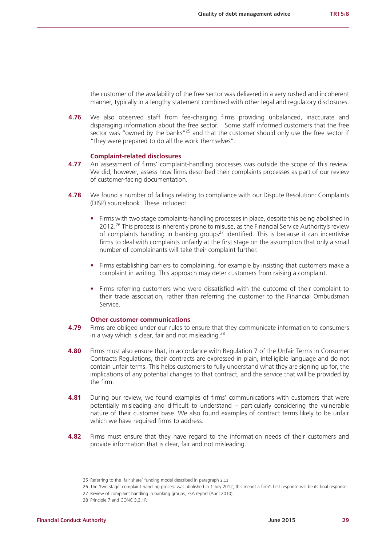the customer of the availability of the free sector was delivered in a very rushed and incoherent manner, typically in a lengthy statement combined with other legal and regulatory disclosures.

**4.76** We also observed staff from fee-charging firms providing unbalanced, inaccurate and disparaging information about the free sector. Some staff informed customers that the free sector was "owned by the banks"<sup>25</sup> and that the customer should only use the free sector if "they were prepared to do all the work themselves".

#### **Complaint-related disclosures**

- **4.77** An assessment of firms' complaint-handling processes was outside the scope of this review. We did, however, assess how firms described their complaints processes as part of our review of customer-facing documentation.
- **4.78** We found a number of failings relating to compliance with our Dispute Resolution: Complaints (DISP) sourcebook. These included:
	- **•** Firms with two stage complaints-handling processes in place, despite this being abolished in 2012.26 This process is inherently prone to misuse, as the Financial Service Authority's review of complaints handling in banking groups<sup>27</sup> identified. This is because it can incentivise firms to deal with complaints unfairly at the first stage on the assumption that only a small number of complainants will take their complaint further.
	- **•** Firms establishing barriers to complaining, for example by insisting that customers make a complaint in writing. This approach may deter customers from raising a complaint.
	- **•** Firms referring customers who were dissatisfied with the outcome of their complaint to their trade association, rather than referring the customer to the Financial Ombudsman Service.

#### **Other customer communications**

- **4.79** Firms are obliged under our rules to ensure that they communicate information to consumers in a way which is clear, fair and not misleading. $^{28}$
- **4.80** Firms must also ensure that, in accordance with Regulation 7 of the Unfair Terms in Consumer Contracts Regulations, their contracts are expressed in plain, intelligible language and do not contain unfair terms. This helps customers to fully understand what they are signing up for, the implications of any potential changes to that contract, and the service that will be provided by the firm.
- **4.81** During our review, we found examples of firms' communications with customers that were potentially misleading and difficult to understand – particularly considering the vulnerable nature of their customer base. We also found examples of contract terms likely to be unfair which we have required firms to address.
- **4.82** Firms must ensure that they have regard to the information needs of their customers and provide information that is clear, fair and not misleading.

<sup>25</sup> Referring to the 'fair share' funding model described in paragraph 2.11

<sup>26</sup> The 'two-stage' complaint-handling process was abolished in 1 July 2012; this meant a firm's first response will be its final response.

<sup>27</sup> Review of complaint handling in banking groups, FSA report (April 2010)

<sup>28</sup> Principle 7 and CONC 3.3.1R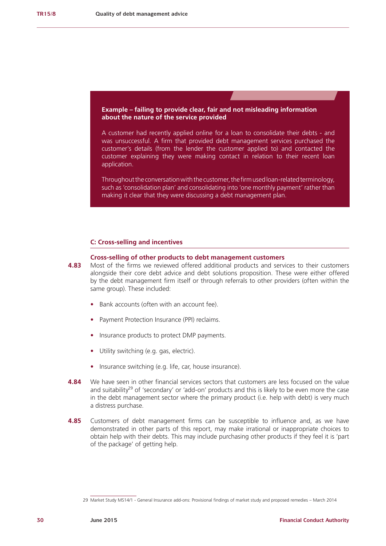# **Example – failing to provide clear, fair and not misleading information about the nature of the service provided**

A customer had recently applied online for a loan to consolidate their debts - and was unsuccessful. A firm that provided debt management services purchased the customer's details (from the lender the customer applied to) and contacted the customer explaining they were making contact in relation to their recent loan application.

Throughout the conversation with the customer, the firm used loan-related terminology, such as 'consolidation plan' and consolidating into 'one monthly payment' rather than making it clear that they were discussing a debt management plan.

#### **C: Cross-selling and incentives**

#### **Cross-selling of other products to debt management customers**

- **4.83** Most of the firms we reviewed offered additional products and services to their customers alongside their core debt advice and debt solutions proposition. These were either offered by the debt management firm itself or through referrals to other providers (often within the same group). These included:
	- **•** Bank accounts (often with an account fee).
	- **•** Payment Protection Insurance (PPI) reclaims.
	- **•** Insurance products to protect DMP payments.
	- **•** Utility switching (e.g. gas, electric).
	- **•** Insurance switching (e.g. life, car, house insurance).
- **4.84** We have seen in other financial services sectors that customers are less focused on the value and suitability<sup>29</sup> of 'secondary' or 'add-on' products and this is likely to be even more the case in the debt management sector where the primary product (i.e. help with debt) is very much a distress purchase.
- **4.85** Customers of debt management firms can be susceptible to influence and, as we have demonstrated in other parts of this report, may make irrational or inappropriate choices to obtain help with their debts. This may include purchasing other products if they feel it is 'part of the package' of getting help.

<sup>29</sup> Market Study MS14/1 - General Insurance add-ons: Provisional findings of market study and proposed remedies – March 2014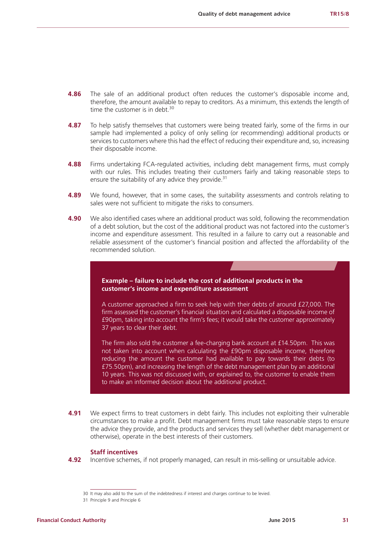- **4.86** The sale of an additional product often reduces the customer's disposable income and, therefore, the amount available to repay to creditors. As a minimum, this extends the length of time the customer is in debt. $30$
- **4.87** To help satisfy themselves that customers were being treated fairly, some of the firms in our sample had implemented a policy of only selling (or recommending) additional products or services to customers where this had the effect of reducing their expenditure and, so, increasing their disposable income.
- **4.88** Firms undertaking FCA-regulated activities, including debt management firms, must comply with our rules. This includes treating their customers fairly and taking reasonable steps to ensure the suitability of any advice they provide.<sup>31</sup>
- **4.89** We found, however, that in some cases, the suitability assessments and controls relating to sales were not sufficient to mitigate the risks to consumers.
- **4.90** We also identified cases where an additional product was sold, following the recommendation of a debt solution, but the cost of the additional product was not factored into the customer's income and expenditure assessment. This resulted in a failure to carry out a reasonable and reliable assessment of the customer's financial position and affected the affordability of the recommended solution.



A customer approached a firm to seek help with their debts of around £27,000. The firm assessed the customer's financial situation and calculated a disposable income of £90pm, taking into account the firm's fees; it would take the customer approximately 37 years to clear their debt.

The firm also sold the customer a fee-charging bank account at £14.50pm. This was not taken into account when calculating the £90pm disposable income, therefore reducing the amount the customer had available to pay towards their debts (to £75.50pm), and increasing the length of the debt management plan by an additional 10 years. This was not discussed with, or explained to, the customer to enable them to make an informed decision about the additional product.

**4.91** We expect firms to treat customers in debt fairly. This includes not exploiting their vulnerable circumstances to make a profit. Debt management firms must take reasonable steps to ensure the advice they provide, and the products and services they sell (whether debt management or otherwise), operate in the best interests of their customers.

#### **Staff incentives**

**4.92** Incentive schemes, if not properly managed, can result in mis-selling or unsuitable advice.

<sup>30</sup> It may also add to the sum of the indebtedness if interest and charges continue to be levied.

<sup>31</sup> Principle 9 and Principle 6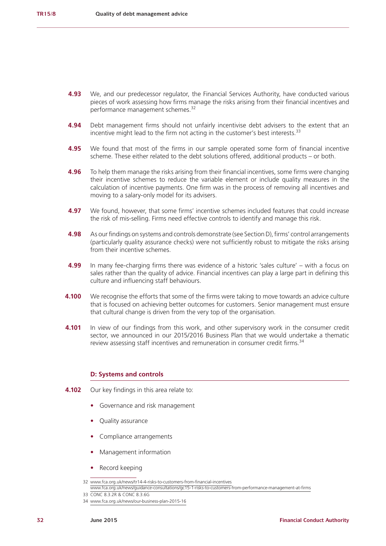- **4.93** We, and our predecessor regulator, the Financial Services Authority, have conducted various pieces of work assessing how firms manage the risks arising from their financial incentives and performance management schemes.<sup>32</sup>
- **4.94** Debt management firms should not unfairly incentivise debt advisers to the extent that an incentive might lead to the firm not acting in the customer's best interests.<sup>33</sup>
- **4.95** We found that most of the firms in our sample operated some form of financial incentive scheme. These either related to the debt solutions offered, additional products – or both.
- **4.96** To help them manage the risks arising from their financial incentives, some firms were changing their incentive schemes to reduce the variable element or include quality measures in the calculation of incentive payments. One firm was in the process of removing all incentives and moving to a salary-only model for its advisers.
- **4.97** We found, however, that some firms' incentive schemes included features that could increase the risk of mis-selling. Firms need effective controls to identify and manage this risk.
- **4.98** As our findings on systems and controls demonstrate (see Section D), firms' control arrangements (particularly quality assurance checks) were not sufficiently robust to mitigate the risks arising from their incentive schemes.
- **4.99** In many fee-charging firms there was evidence of a historic 'sales culture' with a focus on sales rather than the quality of advice. Financial incentives can play a large part in defining this culture and influencing staff behaviours.
- **4.100** We recognise the efforts that some of the firms were taking to move towards an advice culture that is focused on achieving better outcomes for customers. Senior management must ensure that cultural change is driven from the very top of the organisation.
- **4.101** In view of our findings from this work, and other supervisory work in the consumer credit sector, we announced in our 2015/2016 Business Plan that we would undertake a thematic review assessing staff incentives and remuneration in consumer credit firms.<sup>34</sup>

#### **D: Systems and controls**

- **4.102** Our key findings in this area relate to:
	- **•** Governance and risk management
	- **•** Quality assurance
	- **•** Compliance arrangements
	- **•** Management information
	- **•** Record keeping

<sup>32</sup> [www.fca.org.uk/news/tr14-4-risks-to-customers-from-financial-incentives](https://www.fca.org.uk/news/tr14-4-risks-to-customers-from-financial-incentives)

[www.fca.org.uk/news/guidance-consultations/gc15-1-risks-to-customers-from-performance-management-at-firms](https://www.fca.org.uk/news/guidance-consultations/gc15-1-risks-to-customers-from-performance-management-at-firms) 33 CONC 8.3.2R & CONC 8.3.6G

<sup>34</sup> [www.fca.org.uk/news/our-business-plan-2015-16](https://www.fca.org.uk/news/our-business-plan-2015-16)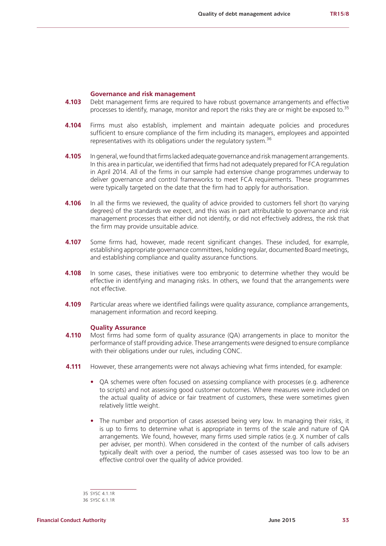#### **Governance and risk management**

- **4.103** Debt management firms are required to have robust governance arrangements and effective processes to identify, manage, monitor and report the risks they are or might be exposed to.<sup>35</sup>
- **4.104** Firms must also establish, implement and maintain adequate policies and procedures sufficient to ensure compliance of the firm including its managers, employees and appointed representatives with its obligations under the regulatory system.36
- **4.105** In general, we found that firms lacked adequate governance and risk management arrangements. In this area in particular, we identified that firms had not adequately prepared for FCA regulation in April 2014. All of the firms in our sample had extensive change programmes underway to deliver governance and control frameworks to meet FCA requirements. These programmes were typically targeted on the date that the firm had to apply for authorisation.
- **4.106** In all the firms we reviewed, the quality of advice provided to customers fell short (to varying degrees) of the standards we expect, and this was in part attributable to governance and risk management processes that either did not identify, or did not effectively address, the risk that the firm may provide unsuitable advice.
- **4.107** Some firms had, however, made recent significant changes. These included, for example, establishing appropriate governance committees, holding regular, documented Board meetings, and establishing compliance and quality assurance functions.
- **4.108** In some cases, these initiatives were too embryonic to determine whether they would be effective in identifying and managing risks. In others, we found that the arrangements were not effective.
- **4.109** Particular areas where we identified failings were quality assurance, compliance arrangements, management information and record keeping.

#### **Quality Assurance**

- **4.110** Most firms had some form of quality assurance (QA) arrangements in place to monitor the performance of staff providing advice. These arrangements were designed to ensure compliance with their obligations under our rules, including CONC.
- **4.111** However, these arrangements were not always achieving what firms intended, for example:
	- **•** QA schemes were often focused on assessing compliance with processes (e.g. adherence to scripts) and not assessing good customer outcomes. Where measures were included on the actual quality of advice or fair treatment of customers, these were sometimes given relatively little weight.
	- **•** The number and proportion of cases assessed being very low. In managing their risks, it is up to firms to determine what is appropriate in terms of the scale and nature of QA arrangements. We found, however, many firms used simple ratios (e.g. X number of calls per adviser, per month). When considered in the context of the number of calls advisers typically dealt with over a period, the number of cases assessed was too low to be an effective control over the quality of advice provided.

<sup>35</sup> SYSC 4.1.1R

<sup>36</sup> SYSC 6.1.1R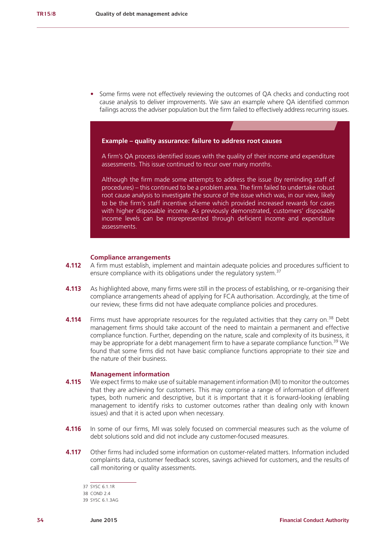**•** Some firms were not effectively reviewing the outcomes of QA checks and conducting root cause analysis to deliver improvements. We saw an example where QA identified common failings across the adviser population but the firm failed to effectively address recurring issues.



A firm's QA process identified issues with the quality of their income and expenditure assessments. This issue continued to recur over many months.

Although the firm made some attempts to address the issue (by reminding staff of procedures) – this continued to be a problem area. The firm failed to undertake robust root cause analysis to investigate the source of the issue which was, in our view, likely to be the firm's staff incentive scheme which provided increased rewards for cases with higher disposable income. As previously demonstrated, customers' disposable income levels can be misrepresented through deficient income and expenditure assessments.

#### **Compliance arrangements**

- **4.112** A firm must establish, implement and maintain adequate policies and procedures sufficient to ensure compliance with its obligations under the regulatory system.<sup>37</sup>
- **4.113** As highlighted above, many firms were still in the process of establishing, or re-organising their compliance arrangements ahead of applying for FCA authorisation. Accordingly, at the time of our review, these firms did not have adequate compliance policies and procedures.
- **4.114** Firms must have appropriate resources for the regulated activities that they carry on.<sup>38</sup> Debt management firms should take account of the need to maintain a permanent and effective compliance function. Further, depending on the nature, scale and complexity of its business, it may be appropriate for a debt management firm to have a separate compliance function.<sup>39</sup> We found that some firms did not have basic compliance functions appropriate to their size and the nature of their business.

#### **Management information**

- **4.115** We expect firms to make use of suitable management information (MI) to monitor the outcomes that they are achieving for customers. This may comprise a range of information of different types, both numeric and descriptive, but it is important that it is forward-looking (enabling management to identify risks to customer outcomes rather than dealing only with known issues) and that it is acted upon when necessary.
- **4.116** In some of our firms, MI was solely focused on commercial measures such as the volume of debt solutions sold and did not include any customer-focused measures.
- **4.117** Other firms had included some information on customer-related matters. Information included complaints data, customer feedback scores, savings achieved for customers, and the results of call monitoring or quality assessments.

<sup>37</sup> SYSC 6.1.1R

<sup>38</sup> COND 2.4

<sup>39</sup> SYSC 6.1.3AG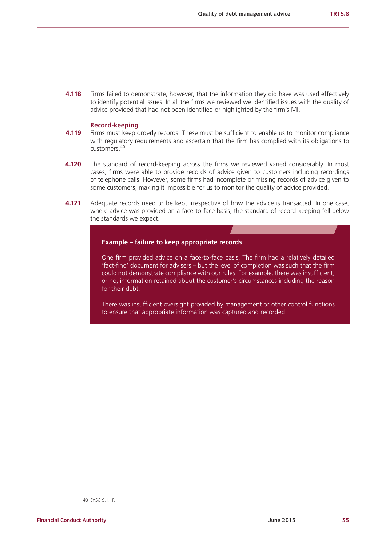**4.118** Firms failed to demonstrate, however, that the information they did have was used effectively to identify potential issues. In all the firms we reviewed we identified issues with the quality of advice provided that had not been identified or highlighted by the firm's MI.

### **Record-keeping**

- **4.119** Firms must keep orderly records. These must be sufficient to enable us to monitor compliance with regulatory requirements and ascertain that the firm has complied with its obligations to customers.<sup>40</sup>
- **4.120** The standard of record-keeping across the firms we reviewed varied considerably. In most cases, firms were able to provide records of advice given to customers including recordings of telephone calls. However, some firms had incomplete or missing records of advice given to some customers, making it impossible for us to monitor the quality of advice provided.
- **4.121** Adequate records need to be kept irrespective of how the advice is transacted. In one case, where advice was provided on a face-to-face basis, the standard of record-keeping fell below the standards we expect.

#### **Example – failure to keep appropriate records**

One firm provided advice on a face-to-face basis. The firm had a relatively detailed 'fact-find' document for advisers – but the level of completion was such that the firm could not demonstrate compliance with our rules. For example, there was insufficient, or no, information retained about the customer's circumstances including the reason for their debt.

There was insufficient oversight provided by management or other control functions to ensure that appropriate information was captured and recorded.

<sup>40</sup> SYSC 9.1.1R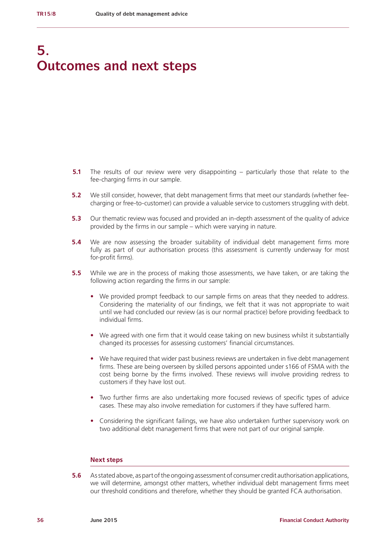# **5. Outcomes and next steps**

- **5.1** The results of our review were very disappointing particularly those that relate to the fee-charging firms in our sample.
- **5.2** We still consider, however, that debt management firms that meet our standards (whether feecharging or free-to-customer) can provide a valuable service to customers struggling with debt.
- **5.3** Our thematic review was focused and provided an in-depth assessment of the quality of advice provided by the firms in our sample – which were varying in nature.
- **5.4** We are now assessing the broader suitability of individual debt management firms more fully as part of our authorisation process (this assessment is currently underway for most for-profit firms).
- **5.5** While we are in the process of making those assessments, we have taken, or are taking the following action regarding the firms in our sample:
	- **•** We provided prompt feedback to our sample firms on areas that they needed to address. Considering the materiality of our findings, we felt that it was not appropriate to wait until we had concluded our review (as is our normal practice) before providing feedback to individual firms.
	- **•** We agreed with one firm that it would cease taking on new business whilst it substantially changed its processes for assessing customers' financial circumstances.
	- We have required that wider past business reviews are undertaken in five debt management firms. These are being overseen by skilled persons appointed under s166 of FSMA with the cost being borne by the firms involved. These reviews will involve providing redress to customers if they have lost out.
	- **•** Two further firms are also undertaking more focused reviews of specific types of advice cases. These may also involve remediation for customers if they have suffered harm.
	- **•** Considering the significant failings, we have also undertaken further supervisory work on two additional debt management firms that were not part of our original sample.

#### **Next steps**

**5.6** As stated above, as part of the ongoing assessment of consumer credit authorisation applications, we will determine, amongst other matters, whether individual debt management firms meet our threshold conditions and therefore, whether they should be granted FCA authorisation.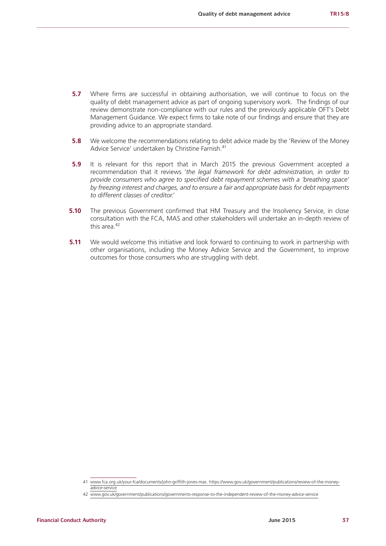- **5.7** Where firms are successful in obtaining authorisation, we will continue to focus on the quality of debt management advice as part of ongoing supervisory work. The findings of our review demonstrate non-compliance with our rules and the previously applicable OFT's Debt Management Guidance. We expect firms to take note of our findings and ensure that they are providing advice to an appropriate standard.
- **5.8** We welcome the recommendations relating to debt advice made by the 'Review of the Money Advice Service' undertaken by Christine Farnish.<sup>41</sup>
- **5.9** It is relevant for this report that in March 2015 the previous Government accepted a recommendation that it reviews '*the legal framework for debt administration, in order to provide consumers who agree to specified debt repayment schemes with a 'breathing space' by freezing interest and charges, and to ensure a fair and appropriate basis for debt repayments to different classes of creditor*.'
- **5.10** The previous Government confirmed that HM Treasury and the Insolvency Service, in close consultation with the FCA, MAS and other stakeholders will undertake an in-depth review of this area  $42$
- **5.11** We would welcome this initiative and look forward to continuing to work in partnership with other organisations, including the Money Advice Service and the Government, to improve outcomes for those consumers who are struggling with debt.

<sup>41</sup> [www.fca.org.uk/your-fca/documents/john-griffith-jones-mas.](http://www.fca.org.uk/your-fca/documents/john-griffith-jones-mas) [https://www.gov.uk/government/publications/review-of-the-money](https://www.gov.uk/government/publications/review-of-the-money-advice-service)[advice-service](https://www.gov.uk/government/publications/review-of-the-money-advice-service)

<sup>42</sup> [www.gov.uk/government/publications/governments-response-to-the-independent-review-of-the-money-advice-service](https://www.gov.uk/government/publications/governments-response-to-the-independent-review-of-the-money-advice-service)